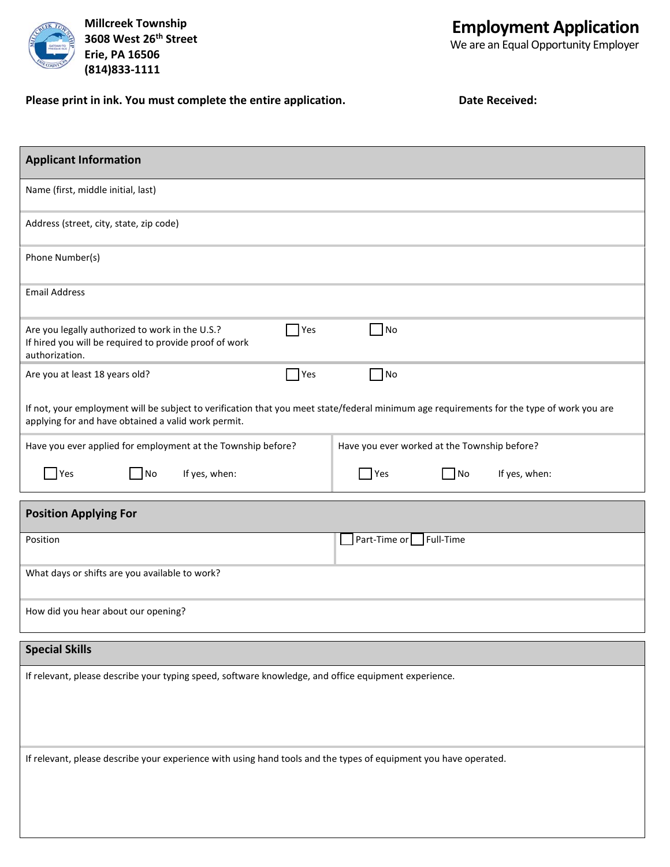

**Millcreek Township 3608 West 26th Street Erie, PA 16506 (814)833-1111**

We are an Equal Opportunity Employer

**Please print in ink. You must complete the entire application. <b>Date Date** Received:

| <b>Applicant Information</b>                                                                                                                                                                     |                                                 |  |  |  |
|--------------------------------------------------------------------------------------------------------------------------------------------------------------------------------------------------|-------------------------------------------------|--|--|--|
| Name (first, middle initial, last)                                                                                                                                                               |                                                 |  |  |  |
| Address (street, city, state, zip code)                                                                                                                                                          |                                                 |  |  |  |
| Phone Number(s)                                                                                                                                                                                  |                                                 |  |  |  |
| <b>Email Address</b>                                                                                                                                                                             |                                                 |  |  |  |
| Are you legally authorized to work in the U.S.?<br>$\mathsf{Yes}$<br>If hired you will be required to provide proof of work<br>authorization.                                                    | No                                              |  |  |  |
| $\blacksquare$ Yes<br>Are you at least 18 years old?                                                                                                                                             | $\neg$ No                                       |  |  |  |
| If not, your employment will be subject to verification that you meet state/federal minimum age requirements for the type of work you are<br>applying for and have obtained a valid work permit. |                                                 |  |  |  |
| Have you ever applied for employment at the Township before?                                                                                                                                     | Have you ever worked at the Township before?    |  |  |  |
| $\Box$ Yes<br>$\overline{\phantom{a}}$ No<br>If yes, when:                                                                                                                                       | $\mathsf{T}$ Yes<br>$\n  1$ No<br>If yes, when: |  |  |  |
| <b>Position Applying For</b>                                                                                                                                                                     |                                                 |  |  |  |
| Position                                                                                                                                                                                         | Part-Time or Full-Time                          |  |  |  |
| What days or shifts are you available to work?                                                                                                                                                   |                                                 |  |  |  |
| How did you hear about our opening?                                                                                                                                                              |                                                 |  |  |  |
| $C_{\text{in}}$ and $C_{\text{in}}$ $C_{\text{in}}$ $C_{\text{in}}$                                                                                                                              |                                                 |  |  |  |

**Special Skills**

If relevant, please describe your typing speed, software knowledge, and office equipment experience.

If relevant, please describe your experience with using hand tools and the types of equipment you have operated.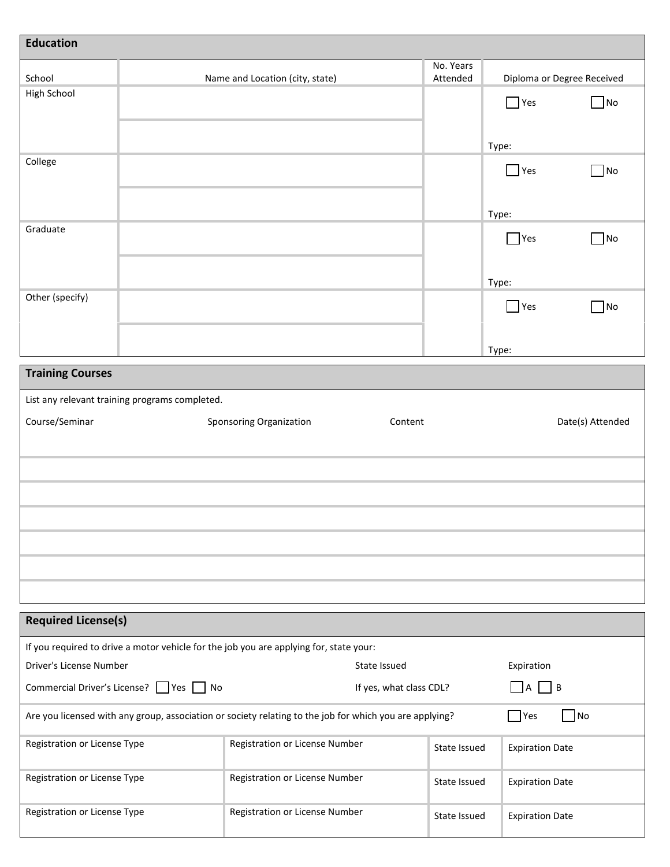| <b>Education</b>                                                                                                                                |                                                |                                 |            |                       |                            |                  |
|-------------------------------------------------------------------------------------------------------------------------------------------------|------------------------------------------------|---------------------------------|------------|-----------------------|----------------------------|------------------|
| School                                                                                                                                          |                                                | Name and Location (city, state) |            | No. Years<br>Attended | Diploma or Degree Received |                  |
| <b>High School</b>                                                                                                                              |                                                |                                 |            |                       | $\Box$ Yes                 | $\Box$ No        |
|                                                                                                                                                 |                                                |                                 |            |                       |                            |                  |
| College                                                                                                                                         |                                                |                                 |            |                       | Type:                      |                  |
|                                                                                                                                                 |                                                |                                 |            |                       | $\Box$ Yes                 | $\n  No\n$       |
|                                                                                                                                                 |                                                |                                 |            |                       |                            |                  |
| Graduate                                                                                                                                        |                                                |                                 |            |                       | Type:<br>$\Box$ Yes        | $\n  1$ No       |
|                                                                                                                                                 |                                                |                                 |            |                       |                            |                  |
|                                                                                                                                                 |                                                |                                 |            |                       | Type:                      |                  |
| Other (specify)                                                                                                                                 |                                                |                                 |            |                       | $\Box$ Yes                 | $\n  1$ No       |
|                                                                                                                                                 |                                                |                                 |            |                       |                            |                  |
|                                                                                                                                                 |                                                |                                 |            |                       | Type:                      |                  |
| <b>Training Courses</b>                                                                                                                         |                                                |                                 |            |                       |                            |                  |
|                                                                                                                                                 | List any relevant training programs completed. |                                 |            |                       |                            |                  |
| Course/Seminar                                                                                                                                  |                                                | Sponsoring Organization         | Content    |                       |                            | Date(s) Attended |
|                                                                                                                                                 |                                                |                                 |            |                       |                            |                  |
|                                                                                                                                                 |                                                |                                 |            |                       |                            |                  |
|                                                                                                                                                 |                                                |                                 |            |                       |                            |                  |
|                                                                                                                                                 |                                                |                                 |            |                       |                            |                  |
|                                                                                                                                                 |                                                |                                 |            |                       |                            |                  |
|                                                                                                                                                 |                                                |                                 |            |                       |                            |                  |
|                                                                                                                                                 |                                                |                                 |            |                       |                            |                  |
| <b>Required License(s)</b>                                                                                                                      |                                                |                                 |            |                       |                            |                  |
| If you required to drive a motor vehicle for the job you are applying for, state your:<br>Driver's License Number<br>State Issued<br>Expiration |                                                |                                 |            |                       |                            |                  |
| Commercial Driver's License? Ves No                                                                                                             |                                                | If yes, what class CDL?         | $A \cap B$ |                       |                            |                  |
| $\Box$ Yes<br>$\Box$ No<br>Are you licensed with any group, association or society relating to the job for which you are applying?              |                                                |                                 |            |                       |                            |                  |
| Registration or License Type                                                                                                                    |                                                | Registration or License Number  |            | State Issued          | <b>Expiration Date</b>     |                  |
| Registration or License Type                                                                                                                    |                                                | Registration or License Number  |            | State Issued          | <b>Expiration Date</b>     |                  |
| Registration or License Type                                                                                                                    |                                                | Registration or License Number  |            | State Issued          | <b>Expiration Date</b>     |                  |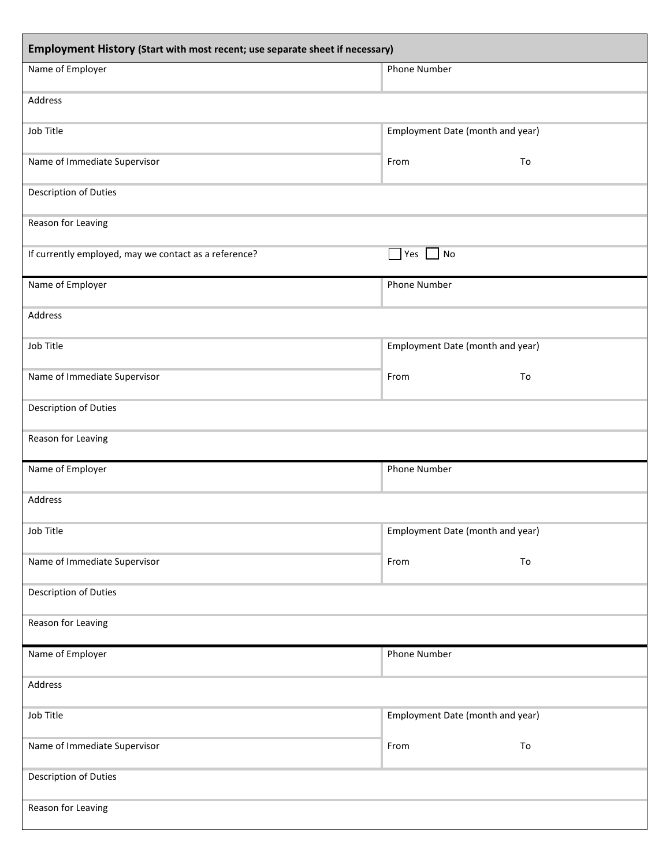| Employment History (Start with most recent; use separate sheet if necessary) |                                  |  |  |  |
|------------------------------------------------------------------------------|----------------------------------|--|--|--|
| Name of Employer                                                             | Phone Number                     |  |  |  |
| Address                                                                      |                                  |  |  |  |
| Job Title                                                                    | Employment Date (month and year) |  |  |  |
| Name of Immediate Supervisor                                                 | From<br>To                       |  |  |  |
| Description of Duties                                                        |                                  |  |  |  |
| Reason for Leaving                                                           |                                  |  |  |  |
| If currently employed, may we contact as a reference?                        | $Yes$ $\Box$<br>No               |  |  |  |
| Name of Employer                                                             | Phone Number                     |  |  |  |
| Address                                                                      |                                  |  |  |  |
| Job Title                                                                    | Employment Date (month and year) |  |  |  |
| Name of Immediate Supervisor                                                 | To<br>From                       |  |  |  |
| Description of Duties                                                        |                                  |  |  |  |
| Reason for Leaving                                                           |                                  |  |  |  |
| Name of Employer                                                             | <b>Phone Number</b>              |  |  |  |
| Address                                                                      |                                  |  |  |  |
| Job Title                                                                    | Employment Date (month and year) |  |  |  |
| Name of Immediate Supervisor                                                 | To<br>From                       |  |  |  |
| Description of Duties                                                        |                                  |  |  |  |
| Reason for Leaving                                                           |                                  |  |  |  |
| Name of Employer                                                             | Phone Number                     |  |  |  |
| Address                                                                      |                                  |  |  |  |
| Job Title                                                                    | Employment Date (month and year) |  |  |  |
| Name of Immediate Supervisor                                                 | To<br>From                       |  |  |  |
| Description of Duties                                                        |                                  |  |  |  |
| Reason for Leaving                                                           |                                  |  |  |  |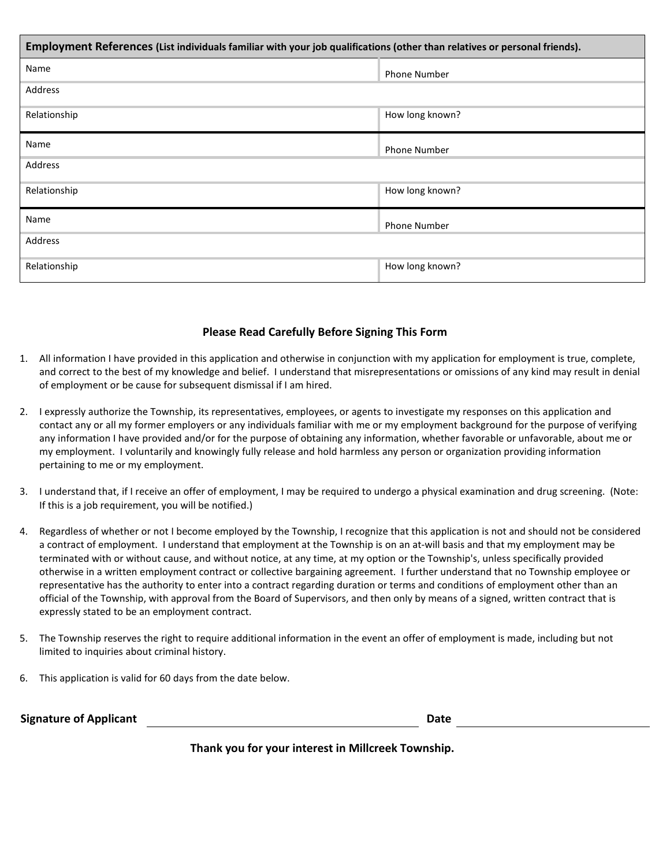| Employment References (List individuals familiar with your job qualifications (other than relatives or personal friends). |                     |  |
|---------------------------------------------------------------------------------------------------------------------------|---------------------|--|
| Name                                                                                                                      | <b>Phone Number</b> |  |
| Address                                                                                                                   |                     |  |
| Relationship                                                                                                              | How long known?     |  |
| Name                                                                                                                      | <b>Phone Number</b> |  |
| Address                                                                                                                   |                     |  |
| Relationship                                                                                                              | How long known?     |  |
| Name                                                                                                                      | <b>Phone Number</b> |  |
| <b>Address</b>                                                                                                            |                     |  |
| Relationship                                                                                                              | How long known?     |  |

## **Please Read Carefully Before Signing This Form**

- 1. All information I have provided in this application and otherwise in conjunction with my application for employment is true, complete, and correct to the best of my knowledge and belief. I understand that misrepresentations or omissions of any kind may result in denial of employment or be cause for subsequent dismissal if I am hired.
- 2. I expressly authorize the Township, its representatives, employees, or agents to investigate my responses on this application and contact any or all my former employers or any individuals familiar with me or my employment background for the purpose of verifying any information I have provided and/or for the purpose of obtaining any information, whether favorable or unfavorable, about me or my employment. I voluntarily and knowingly fully release and hold harmless any person or organization providing information pertaining to me or my employment.
- 3. I understand that, if I receive an offer of employment, I may be required to undergo a physical examination and drug screening. (Note: If this is a job requirement, you will be notified.)
- 4. Regardless of whether or not I become employed by the Township, I recognize that this application is not and should not be considered a contract of employment. I understand that employment at the Township is on an at-will basis and that my employment may be terminated with or without cause, and without notice, at any time, at my option or the Township's, unless specifically provided otherwise in a written employment contract or collective bargaining agreement. I further understand that no Township employee or representative has the authority to enter into a contract regarding duration or terms and conditions of employment other than an official of the Township, with approval from the Board of Supervisors, and then only by means of a signed, written contract that is expressly stated to be an employment contract.
- 5. The Township reserves the right to require additional information in the event an offer of employment is made, including but not limited to inquiries about criminal history.
- 6. This application is valid for 60 days from the date below.

| <b>Signature of Applicant</b> | Date |
|-------------------------------|------|
|                               |      |

**Thank you for your interest in Millcreek Township.**